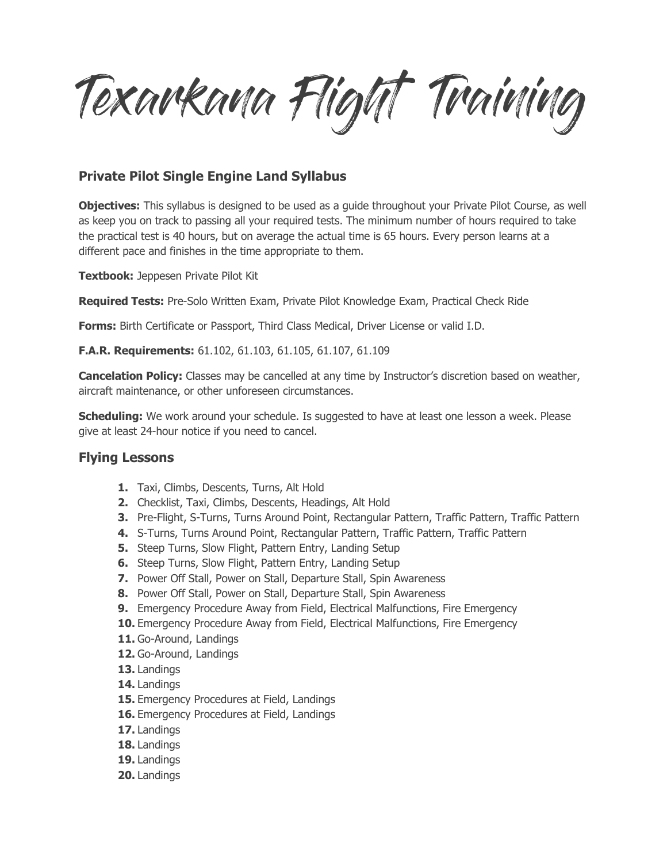Texarkana Flight Training

## **Private Pilot Single Engine Land Syllabus**

**Objectives:** This syllabus is designed to be used as a guide throughout your Private Pilot Course, as well as keep you on track to passing all your required tests. The minimum number of hours required to take the practical test is 40 hours, but on average the actual time is 65 hours. Every person learns at a different pace and finishes in the time appropriate to them.

**Textbook:** Jeppesen Private Pilot Kit

**Required Tests:** Pre-Solo Written Exam, Private Pilot Knowledge Exam, Practical Check Ride

**Forms:** Birth Certificate or Passport, Third Class Medical, Driver License or valid I.D.

**F.A.R. Requirements:** 61.102, 61.103, 61.105, 61.107, 61.109

**Cancelation Policy:** Classes may be cancelled at any time by Instructor's discretion based on weather, aircraft maintenance, or other unforeseen circumstances.

**Scheduling:** We work around your schedule. Is suggested to have at least one lesson a week. Please give at least 24-hour notice if you need to cancel.

## **Flying Lessons**

- **1.** Taxi, Climbs, Descents, Turns, Alt Hold
- **2.** Checklist, Taxi, Climbs, Descents, Headings, Alt Hold
- **3.** Pre-Flight, S-Turns, Turns Around Point, Rectangular Pattern, Traffic Pattern, Traffic Pattern
- **4.** S-Turns, Turns Around Point, Rectangular Pattern, Traffic Pattern, Traffic Pattern
- **5.** Steep Turns, Slow Flight, Pattern Entry, Landing Setup
- **6.** Steep Turns, Slow Flight, Pattern Entry, Landing Setup
- **7.** Power Off Stall, Power on Stall, Departure Stall, Spin Awareness
- **8.** Power Off Stall, Power on Stall, Departure Stall, Spin Awareness
- **9.** Emergency Procedure Away from Field, Electrical Malfunctions, Fire Emergency
- **10.** Emergency Procedure Away from Field, Electrical Malfunctions, Fire Emergency
- **11.** Go-Around, Landings
- **12.** Go-Around, Landings
- **13.** Landings
- **14.** Landings
- **15.** Emergency Procedures at Field, Landings
- **16.** Emergency Procedures at Field, Landings
- **17.** Landings
- **18.** Landings
- **19.** Landings
- **20.** Landings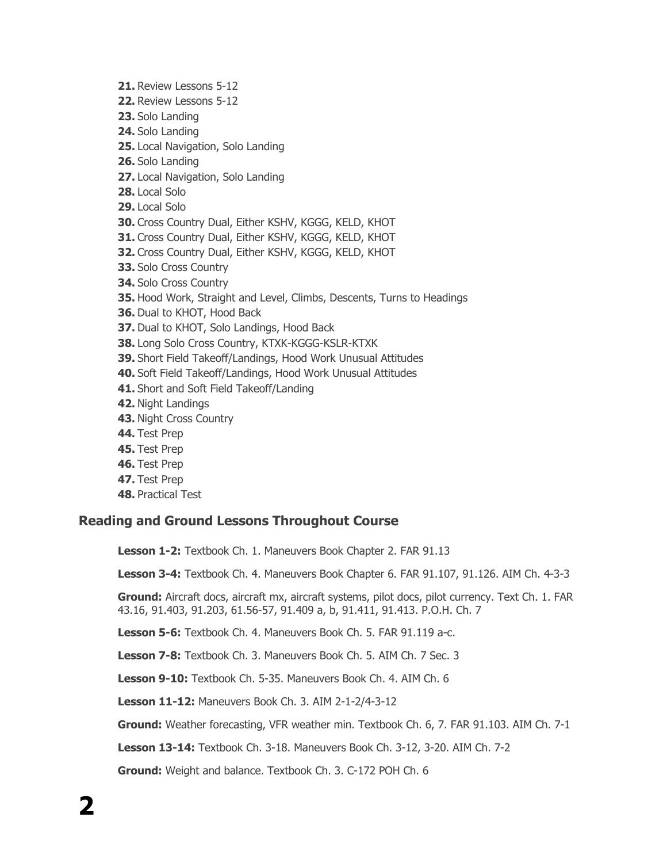- **21.** Review Lessons 5-12
- **22.** Review Lessons 5-12
- **23.** Solo Landing
- **24.** Solo Landing
- **25.** Local Navigation, Solo Landing
- **26.** Solo Landing
- **27.** Local Navigation, Solo Landing
- **28.** Local Solo
- **29.** Local Solo
- **30.** Cross Country Dual, Either KSHV, KGGG, KELD, KHOT
- **31.** Cross Country Dual, Either KSHV, KGGG, KELD, KHOT
- **32.** Cross Country Dual, Either KSHV, KGGG, KELD, KHOT
- **33.** Solo Cross Country
- **34.** Solo Cross Country
- **35.** Hood Work, Straight and Level, Climbs, Descents, Turns to Headings
- **36.** Dual to KHOT, Hood Back
- **37.** Dual to KHOT, Solo Landings, Hood Back
- **38.** Long Solo Cross Country, KTXK-KGGG-KSLR-KTXK
- **39.** Short Field Takeoff/Landings, Hood Work Unusual Attitudes
- **40.** Soft Field Takeoff/Landings, Hood Work Unusual Attitudes
- **41.** Short and Soft Field Takeoff/Landing
- **42.** Night Landings
- **43.** Night Cross Country
- **44.** Test Prep
- **45.** Test Prep
- **46.** Test Prep
- **47.** Test Prep
- **48.** Practical Test

## **Reading and Ground Lessons Throughout Course**

**Lesson 1-2:** Textbook Ch. 1. Maneuvers Book Chapter 2. FAR 91.13

**Lesson 3-4:** Textbook Ch. 4. Maneuvers Book Chapter 6. FAR 91.107, 91.126. AIM Ch. 4-3-3

**Ground:** Aircraft docs, aircraft mx, aircraft systems, pilot docs, pilot currency. Text Ch. 1. FAR 43.16, 91.403, 91.203, 61.56-57, 91.409 a, b, 91.411, 91.413. P.O.H. Ch. 7

**Lesson 5-6:** Textbook Ch. 4. Maneuvers Book Ch. 5. FAR 91.119 a-c.

**Lesson 7-8:** Textbook Ch. 3. Maneuvers Book Ch. 5. AIM Ch. 7 Sec. 3

**Lesson 9-10:** Textbook Ch. 5-35. Maneuvers Book Ch. 4. AIM Ch. 6

**Lesson 11-12:** Maneuvers Book Ch. 3. AIM 2-1-2/4-3-12

**Ground:** Weather forecasting, VFR weather min. Textbook Ch. 6, 7. FAR 91.103. AIM Ch. 7-1

**Lesson 13-14:** Textbook Ch. 3-18. Maneuvers Book Ch. 3-12, 3-20. AIM Ch. 7-2

**Ground:** Weight and balance. Textbook Ch. 3. C-172 POH Ch. 6